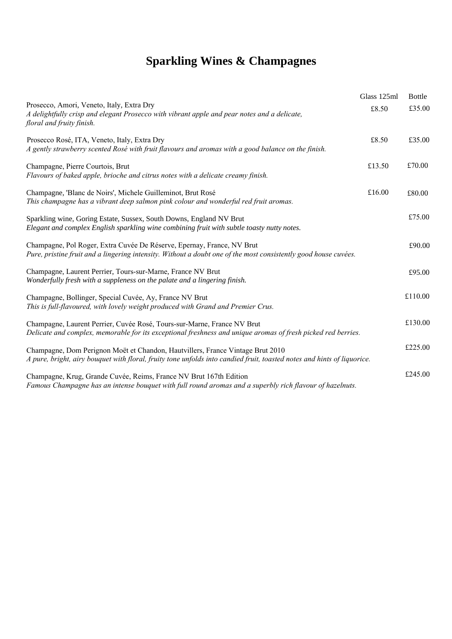# **Sparkling Wines & Champagnes**

|                                                                                                                                                                                                           | Glass 125ml | <b>Bottle</b> |
|-----------------------------------------------------------------------------------------------------------------------------------------------------------------------------------------------------------|-------------|---------------|
| Prosecco, Amori, Veneto, Italy, Extra Dry<br>A delightfully crisp and elegant Prosecco with vibrant apple and pear notes and a delicate,<br>floral and fruity finish.                                     | £8.50       | £35.00        |
| Prosecco Rosé, ITA, Veneto, Italy, Extra Dry<br>A gently strawberry scented Rosé with fruit flavours and aromas with a good balance on the finish.                                                        | £8.50       | £35.00        |
| Champagne, Pierre Courtois, Brut<br>Flavours of baked apple, brioche and citrus notes with a delicate creamy finish.                                                                                      | £13.50      | £70.00        |
| Champagne, 'Blanc de Noirs', Michele Guilleminot, Brut Rosé<br>This champagne has a vibrant deep salmon pink colour and wonderful red fruit aromas.                                                       | £16.00      | £80.00        |
| Sparkling wine, Goring Estate, Sussex, South Downs, England NV Brut<br>Elegant and complex English sparkling wine combining fruit with subtle toasty nutty notes.                                         |             | £75.00        |
| Champagne, Pol Roger, Extra Cuvée De Réserve, Epernay, France, NV Brut<br>Pure, pristine fruit and a lingering intensity. Without a doubt one of the most consistently good house cuvées.                 |             | £90.00        |
| Champagne, Laurent Perrier, Tours-sur-Marne, France NV Brut<br>Wonderfully fresh with a suppleness on the palate and a lingering finish.                                                                  |             | £95.00        |
| Champagne, Bollinger, Special Cuvée, Ay, France NV Brut<br>This is full-flavoured, with lovely weight produced with Grand and Premier Crus.                                                               |             | £110.00       |
| Champagne, Laurent Perrier, Cuvée Rosé, Tours-sur-Marne, France NV Brut<br>Delicate and complex, memorable for its exceptional freshness and unique aromas of fresh picked red berries.                   |             | £130.00       |
| Champagne, Dom Perignon Moët et Chandon, Hautvillers, France Vintage Brut 2010<br>A pure, bright, airy bouquet with floral, fruity tone unfolds into candied fruit, toasted notes and hints of liquorice. |             | £225.00       |
| Champagne, Krug, Grande Cuvée, Reims, France NV Brut 167th Edition<br>Famous Champagne has an intense bouquet with full round aromas and a superbly rich flavour of hazelnuts.                            |             | £245.00       |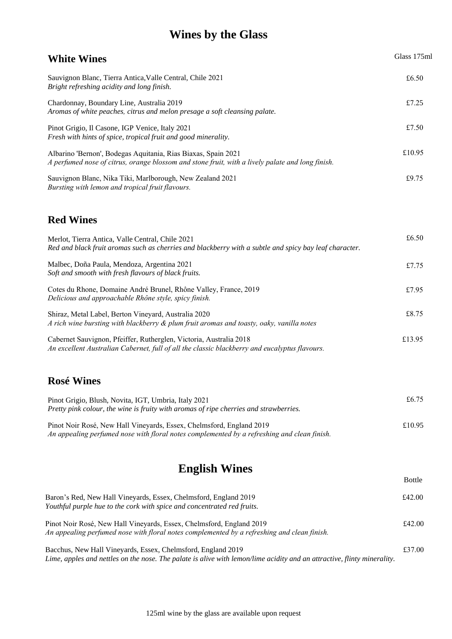## **Wines by the Glass**

| <b>White Wines</b>                                                                                                                                                                      | Glass 175ml   |
|-----------------------------------------------------------------------------------------------------------------------------------------------------------------------------------------|---------------|
| Sauvignon Blanc, Tierra Antica, Valle Central, Chile 2021<br>Bright refreshing acidity and long finish.                                                                                 | £6.50         |
| Chardonnay, Boundary Line, Australia 2019<br>Aromas of white peaches, citrus and melon presage a soft cleansing palate.                                                                 | £7.25         |
| Pinot Grigio, Il Casone, IGP Venice, Italy 2021<br>Fresh with hints of spice, tropical fruit and good minerality.                                                                       | £7.50         |
| Albarino 'Bernon', Bodegas Aquitania, Rias Biaxas, Spain 2021<br>A perfumed nose of citrus, orange blossom and stone fruit, with a lively palate and long finish.                       | £10.95        |
| Sauvignon Blanc, Nika Tiki, Marlborough, New Zealand 2021<br>Bursting with lemon and tropical fruit flavours.                                                                           | £9.75         |
| <b>Red Wines</b>                                                                                                                                                                        |               |
| Merlot, Tierra Antica, Valle Central, Chile 2021<br>Red and black fruit aromas such as cherries and blackberry with a subtle and spicy bay leaf character.                              | £6.50         |
| Malbec, Doña Paula, Mendoza, Argentina 2021<br>Soft and smooth with fresh flavours of black fruits.                                                                                     | £7.75         |
| Cotes du Rhone, Domaine André Brunel, Rhône Valley, France, 2019<br>Delicious and approachable Rhône style, spicy finish.                                                               | £7.95         |
| Shiraz, Metal Label, Berton Vineyard, Australia 2020<br>A rich wine bursting with blackberry & plum fruit aromas and toasty, oaky, vanilla notes                                        | £8.75         |
| Cabernet Sauvignon, Pfeiffer, Rutherglen, Victoria, Australia 2018<br>An excellent Australian Cabernet, full of all the classic blackberry and eucalyptus flavours.                     | £13.95        |
| <b>Rosé Wines</b>                                                                                                                                                                       |               |
| Pinot Grigio, Blush, Novita, IGT, Umbria, Italy 2021<br>Pretty pink colour, the wine is fruity with aromas of ripe cherries and strawberries.                                           | £6.75         |
| Pinot Noir Rosé, New Hall Vineyards, Essex, Chelmsford, England 2019<br>An appealing perfumed nose with floral notes complemented by a refreshing and clean finish.                     | £10.95        |
| <b>English Wines</b>                                                                                                                                                                    | <b>Bottle</b> |
| Baron's Red, New Hall Vineyards, Essex, Chelmsford, England 2019<br>Youthful purple hue to the cork with spice and concentrated red fruits.                                             | £42.00        |
| Pinot Noir Rosé, New Hall Vineyards, Essex, Chelmsford, England 2019<br>An appealing perfumed nose with floral notes complemented by a refreshing and clean finish.                     | £42.00        |
| Bacchus, New Hall Vineyards, Essex, Chelmsford, England 2019<br>Lime, apples and nettles on the nose. The palate is alive with lemon/lime acidity and an attractive, flinty minerality. | £37.00        |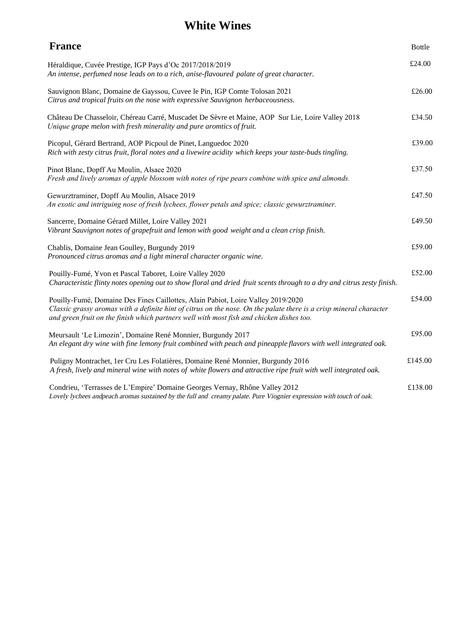## **White Wines**

| <b>France</b>                                                                                                                                                                                                                                                                                      | <b>Bottle</b> |
|----------------------------------------------------------------------------------------------------------------------------------------------------------------------------------------------------------------------------------------------------------------------------------------------------|---------------|
| Héraldique, Cuvée Prestige, IGP Pays d'Oc 2017/2018/2019<br>An intense, perfumed nose leads on to a rich, anise-flavoured palate of great character.                                                                                                                                               | £24.00        |
| Sauvignon Blanc, Domaine de Gayssou, Cuvee le Pin, IGP Comte Tolosan 2021<br>Citrus and tropical fruits on the nose with expressive Sauvignon herbaceousness.                                                                                                                                      | £26.00        |
| Château De Chasseloir, Chéreau Carré, Muscadet De Sèvre et Maine, AOP Sur Lie, Loire Valley 2018<br>Unique grape melon with fresh minerality and pure aromtics of fruit.                                                                                                                           | £34.50        |
| Picopul, Gérard Bertrand, AOP Picpoul de Pinet, Languedoc 2020<br>Rich with zesty citrus fruit, floral notes and a livewire acidity which keeps your taste-buds tingling.                                                                                                                          | £39.00        |
| Pinot Blanc, Dopff Au Moulin, Alsace 2020<br>Fresh and lively aromas of apple blossom with notes of ripe pears combine with spice and almonds.                                                                                                                                                     | £37.50        |
| Gewurztraminer, Dopff Au Moulin, Alsace 2019<br>An exotic and intriguing nose of fresh lychees, flower petals and spice; classic gewurztraminer.                                                                                                                                                   | £47.50        |
| Sancerre, Domaine Gérard Millet, Loire Valley 2021<br>Vibrant Sauvignon notes of grapefruit and lemon with good weight and a clean crisp finish.                                                                                                                                                   | £49.50        |
| Chablis, Domaine Jean Goulley, Burgundy 2019<br>Pronounced citrus aromas and a light mineral character organic wine.                                                                                                                                                                               | £59.00        |
| Pouilly-Fumé, Yvon et Pascal Taboret, Loire Valley 2020<br>Characteristic flinty notes opening out to show floral and dried fruit scents through to a dry and citrus zesty finish.                                                                                                                 | £52.00        |
| Pouilly-Fumé, Domaine Des Fines Caillottes, Alain Pabiot, Loire Valley 2019/2020<br>Classic grassy aromas with a definite hint of citrus on the nose. On the palate there is a crisp mineral character<br>and green fruit on the finish which partners well with most fish and chicken dishes too. | £54.00        |
| Meursault 'Le Limozin', Domaine René Monnier, Burgundy 2017<br>An elegant dry wine with fine lemony fruit combined with peach and pineapple flavors with well integrated oak.                                                                                                                      | £95.00        |
| Puligny Montrachet, 1er Cru Les Folatières, Domaine René Monnier, Burgundy 2016<br>A fresh, lively and mineral wine with notes of white flowers and attractive ripe fruit with well integrated oak.                                                                                                | £145.00       |
| Condrieu, 'Terrasses de L'Empire' Domaine Georges Vernay, Rhône Valley 2012<br>Lovely lychees andpeach aromas sustained by the full and creamy palate. Pure Viognier expression with touch of oak.                                                                                                 | £138.00       |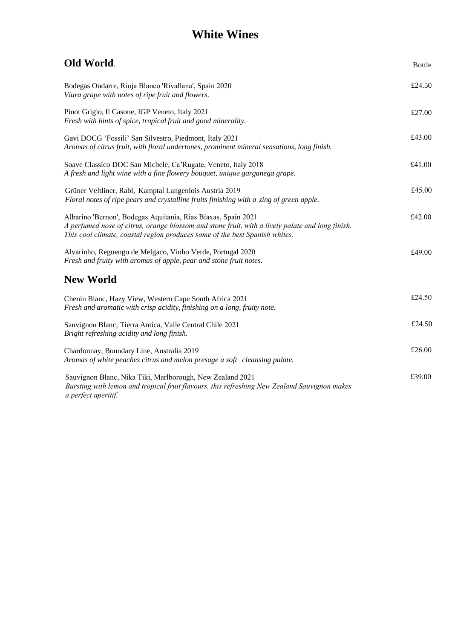## **White Wines**

| Old World.                                                                                                                                                                                                                                       | <b>Bottle</b> |
|--------------------------------------------------------------------------------------------------------------------------------------------------------------------------------------------------------------------------------------------------|---------------|
| Bodegas Ondarre, Rioja Blanco 'Rivallana', Spain 2020<br>Viura grape with notes of ripe fruit and flowers.                                                                                                                                       | £24.50        |
| Pinot Grigio, Il Casone, IGP Veneto, Italy 2021<br>Fresh with hints of spice, tropical fruit and good minerality.                                                                                                                                | £27.00        |
| Gavi DOCG 'Fossili' San Silvestro, Piedmont, Italy 2021<br>Aromas of citrus fruit, with floral undertones, prominent mineral sensations, long finish.                                                                                            | £43.00        |
| Soave Classico DOC San Michele, Ca'Rugate, Veneto, Italy 2018<br>A fresh and light wine with a fine flowery bouquet, unique garganega grape.                                                                                                     | £41.00        |
| Grüner Veltliner, Rabl, Kamptal Langenlois Austria 2019<br>Floral notes of ripe pears and crystalline fruits finishing with a zing of green apple.                                                                                               | £45.00        |
| Albarino 'Bernon', Bodegas Aquitania, Rias Biaxas, Spain 2021<br>A perfumed nose of citrus, orange blossom and stone fruit, with a lively palate and long finish.<br>This cool climate, coastal region produces some of the best Spanish whites. | £42.00        |
| Alvarinho, Reguengo de Melgaco, Vinho Verde, Portugal 2020<br>Fresh and fruity with aromas of apple, pear and stone fruit notes.                                                                                                                 | £49.00        |
| <b>New World</b>                                                                                                                                                                                                                                 |               |
| Chenin Blanc, Hazy View, Western Cape South Africa 2021<br>Fresh and aromatic with crisp acidity, finishing on a long, fruity note.                                                                                                              | £24.50        |
| Sauvignon Blanc, Tierra Antica, Valle Central Chile 2021<br>Bright refreshing acidity and long finish.                                                                                                                                           | £24.50        |
| Chardonnay, Boundary Line, Australia 2019<br>Aromas of white peaches citrus and melon presage a soft cleansing palate.                                                                                                                           | £26.00        |
| Sauvignon Blanc, Nika Tiki, Marlborough, New Zealand 2021<br>Bursting with lemon and tropical fruit flavours, this refreshing New Zealand Sauvignon makes<br>a perfect aperitif.                                                                 | £39.00        |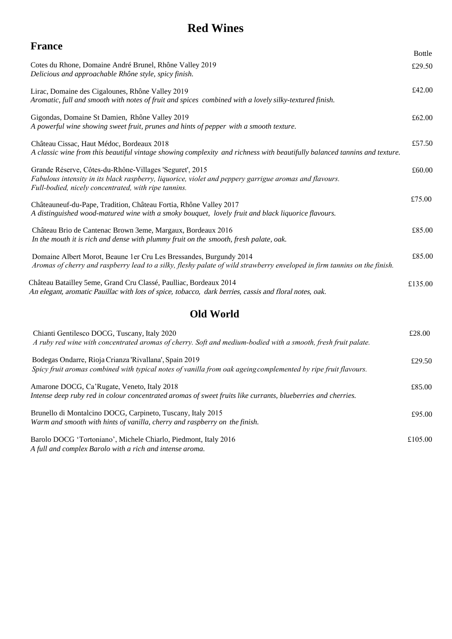### **Red Wines**

| <b>France</b>                                                                                                                                                                                                             |               |
|---------------------------------------------------------------------------------------------------------------------------------------------------------------------------------------------------------------------------|---------------|
|                                                                                                                                                                                                                           | <b>Bottle</b> |
| Cotes du Rhone, Domaine André Brunel, Rhône Valley 2019<br>Delicious and approachable Rhône style, spicy finish.                                                                                                          | £29.50        |
| Lirac, Domaine des Cigalounes, Rhône Valley 2019<br>Aromatic, full and smooth with notes of fruit and spices combined with a lovely silky-textured finish.                                                                | £42.00        |
| Gigondas, Domaine St Damien, Rhône Valley 2019<br>A powerful wine showing sweet fruit, prunes and hints of pepper with a smooth texture.                                                                                  | £62.00        |
| Château Cissac, Haut Médoc, Bordeaux 2018<br>A classic wine from this beautiful vintage showing complexity and richness with beautifully balanced tannins and texture.                                                    | £57.50        |
| Grande Réserve, Côtes-du-Rhône-Villages 'Seguret', 2015<br>Fabulous intensity in its black raspberry, liquorice, violet and peppery garrigue aromas and flavours.<br>Full-bodied, nicely concentrated, with ripe tannins. | £60.00        |
| Châteauneuf-du-Pape, Tradition, Château Fortia, Rhône Valley 2017<br>A distinguished wood-matured wine with a smoky bouquet, lovely fruit and black liquorice flavours.                                                   | £75.00        |
| Château Brio de Cantenac Brown 3eme, Margaux, Bordeaux 2016<br>In the mouth it is rich and dense with plummy fruit on the smooth, fresh palate, oak.                                                                      | £85.00        |
| Domaine Albert Morot, Beaune 1 er Cru Les Bressandes, Burgundy 2014<br>Aromas of cherry and raspberry lead to a silky, fleshy palate of wild strawberry enveloped in firm tannins on the finish.                          | £85.00        |
| Château Batailley 5eme, Grand Cru Classé, Paulliac, Bordeaux 2014<br>An elegant, aromatic Pauillac with lots of spice, tobacco, dark berries, cassis and floral notes, oak.                                               | £135.00       |

#### **Old World**

| Chianti Gentilesco DOCG, Tuscany, Italy 2020<br>A ruby red wine with concentrated aromas of cherry. Soft and medium-bodied with a smooth, fresh fruit palate.            | £28.00  |
|--------------------------------------------------------------------------------------------------------------------------------------------------------------------------|---------|
| Bodegas Ondarre, Rioja Crianza 'Rivallana', Spain 2019<br>Spicy fruit aromas combined with typical notes of vanilla from oak ageing complemented by ripe fruit flavours. | £29.50  |
| Amarone DOCG, Ca'Rugate, Veneto, Italy 2018<br>Intense deep ruby red in colour concentrated aromas of sweet fruits like currants, blueberries and cherries.              | £85.00  |
| Brunello di Montalcino DOCG, Carpineto, Tuscany, Italy 2015<br>Warm and smooth with hints of vanilla, cherry and raspberry on the finish.                                | £95.00  |
| Barolo DOCG 'Tortoniano', Michele Chiarlo, Piedmont, Italy 2016<br>A full and complex Barolo with a rich and intense aroma.                                              | £105.00 |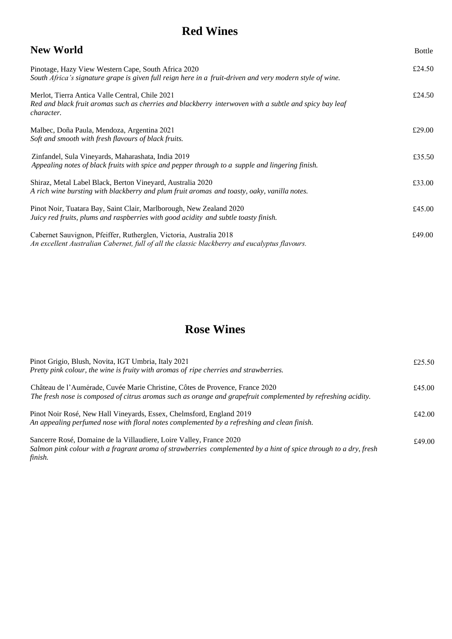## **Red Wines**

#### **New World**

| Pinotage, Hazy View Western Cape, South Africa 2020<br>South Africa's signature grape is given full reign here in a fruit-driven and very modern style of wine.                | £24.50 |
|--------------------------------------------------------------------------------------------------------------------------------------------------------------------------------|--------|
| Merlot, Tierra Antica Valle Central, Chile 2021<br>Red and black fruit aromas such as cherries and blackberry interwoven with a subtle and spicy bay leaf<br><i>character.</i> | £24.50 |
| Malbec, Doña Paula, Mendoza, Argentina 2021<br>Soft and smooth with fresh flavours of black fruits.                                                                            | £29.00 |
| Zinfandel, Sula Vineyards, Maharashata, India 2019<br>Appealing notes of black fruits with spice and pepper through to a supple and lingering finish.                          | £35.50 |
| Shiraz, Metal Label Black, Berton Vineyard, Australia 2020<br>A rich wine bursting with blackberry and plum fruit aromas and toasty, oaky, vanilla notes.                      | £33.00 |
| Pinot Noir, Tuatara Bay, Saint Clair, Marlborough, New Zealand 2020<br>Juicy red fruits, plums and raspberries with good acidity and subtle toasty finish.                     | £45.00 |
| Cabernet Sauvignon, Pfeiffer, Rutherglen, Victoria, Australia 2018<br>An excellent Australian Cabernet, full of all the classic blackberry and eucalyptus flavours.            | £49.00 |

Bottle

## **Rose Wines**

| Pinot Grigio, Blush, Novita, IGT Umbria, Italy 2021<br>Pretty pink colour, the wine is fruity with aromas of ripe cherries and strawberries.                                                       | £25.50 |
|----------------------------------------------------------------------------------------------------------------------------------------------------------------------------------------------------|--------|
| Château de l'Aumérade, Cuvée Marie Christine, Côtes de Provence, France 2020<br>The fresh nose is composed of citrus aromas such as orange and grapefruit complemented by refreshing acidity.      | £45.00 |
| Pinot Noir Rosé, New Hall Vineyards, Essex, Chelmsford, England 2019<br>An appealing perfumed nose with floral notes complemented by a refreshing and clean finish.                                | £42.00 |
| Sancerre Rosé, Domaine de la Villaudiere, Loire Valley, France 2020<br>Salmon pink colour with a fragrant aroma of strawberries complemented by a hint of spice through to a dry, fresh<br>finish. | £49.00 |